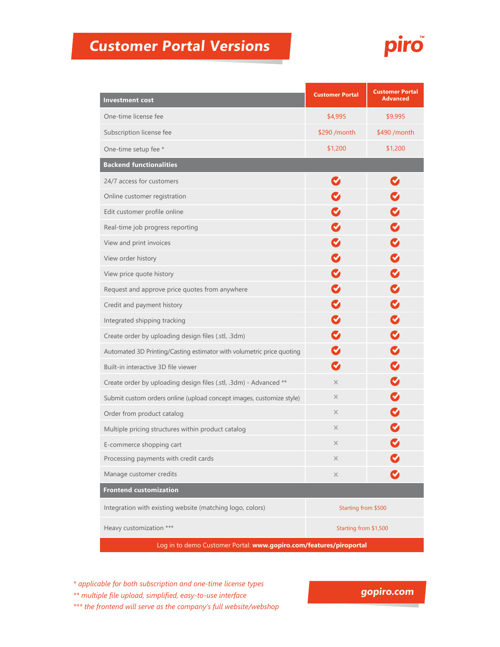## **Customer Portal Versions**



| <b>Investment cost</b>                                                | <b>Customer Portal</b> | <b>Customer Portal</b><br><b>Advanced</b> |
|-----------------------------------------------------------------------|------------------------|-------------------------------------------|
| One-time license fee                                                  | \$4,995                | \$9,995                                   |
| Subscription license fee                                              | \$290 / month          | \$490 / month                             |
| One-time setup fee *                                                  | \$1,200                | \$1,200                                   |
| <b>Backend functionalities</b>                                        |                        |                                           |
| 24/7 access for customers                                             | $\sim$                 | Ø                                         |
| Online customer registration                                          |                        | $\blacktriangledown$                      |
| Edit customer profile online                                          |                        | M                                         |
| Real-time job progress reporting                                      |                        | $\blacktriangledown$                      |
| View and print invoices                                               |                        | $\blacktriangledown$                      |
| View order history                                                    |                        | $\blacktriangledown$                      |
| View price quote history                                              |                        | $\blacktriangledown$                      |
| Request and approve price quotes from anywhere                        |                        | $\blacktriangledown$                      |
| Credit and payment history                                            |                        | $\blacktriangledown$                      |
| Integrated shipping tracking                                          | $\blacktriangledown$   | Ø                                         |
| Create order by uploading design files (.stl, .3dm)                   |                        | $\blacktriangledown$                      |
| Automated 3D Printing/Casting estimator with volumetric price quoting |                        | $\blacktriangledown$                      |
| Built-in interactive 3D file viewer                                   | $\bullet$              | $\blacktriangledown$                      |
| Create order by uploading design files (.stl, .3dm) - Advanced **     | $\times$               | $\blacktriangledown$                      |
| Submit custom orders online (upload concept images, customize style)  | $\times$               | $\blacktriangledown$                      |
| Order from product catalog                                            | $\times$               | V                                         |
| Multiple pricing structures within product catalog                    | $\times$               |                                           |
| E-commerce shopping cart                                              | $\times$               |                                           |
| Processing payments with credit cards                                 | $\times$               |                                           |
| Manage customer credits                                               | $\times$               |                                           |
| <b>Frontend customization</b>                                         |                        |                                           |
| Integration with existing website (matching logo, colors)             | Starting from \$500    |                                           |
| Heavy customization ***                                               | Starting from \$1,500  |                                           |
| Log in to demo Customer Portal: www.gopiro.com/features/piroportal    |                        |                                           |

*\* applicable for both subscription and one-time license types*

*\*\* multiple file upload, simplified, easy-to-use interface*

*\*\*\* the frontend will serve as the company's full website/webshop*

## **gopiro.com**